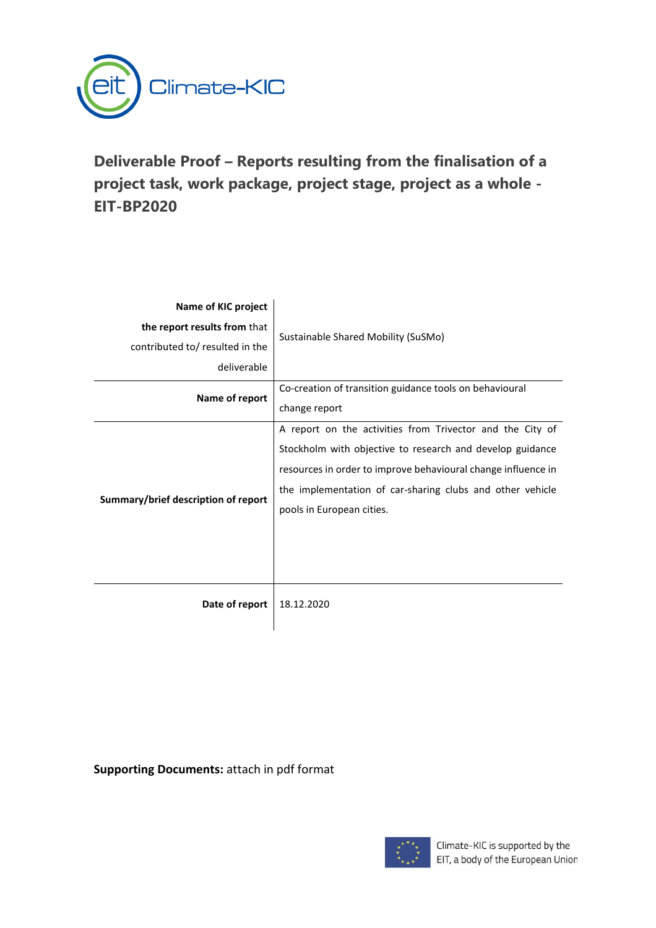

# **Deliverable Proof – Reports resulting from the finalisation of a project task, work package, project stage, project as a whole - EIT-BP2020**

| Name of KIC project                 |                                                               |
|-------------------------------------|---------------------------------------------------------------|
| the report results from that        | Sustainable Shared Mobility (SuSMo)                           |
| contributed to/ resulted in the     |                                                               |
| deliverable                         |                                                               |
| Name of report                      | Co-creation of transition guidance tools on behavioural       |
|                                     | change report                                                 |
| Summary/brief description of report | A report on the activities from Trivector and the City of     |
|                                     | Stockholm with objective to research and develop guidance     |
|                                     | resources in order to improve behavioural change influence in |
|                                     | the implementation of car-sharing clubs and other vehicle     |
|                                     | pools in European cities.                                     |
|                                     |                                                               |
|                                     |                                                               |
|                                     |                                                               |
| Date of report                      | 18.12.2020                                                    |
|                                     |                                                               |

**Supporting Documents:** attach in pdf format

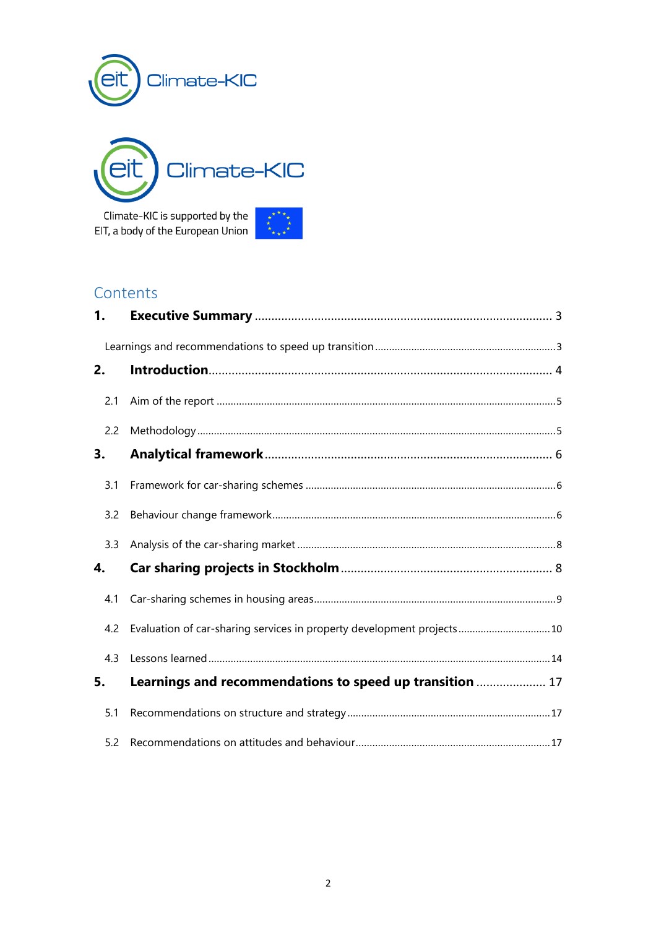



Climate-KIC is supported by the EIT, a body of the European Union



### Contents

| 1.  |                                                                        |
|-----|------------------------------------------------------------------------|
|     |                                                                        |
| 2.  |                                                                        |
| 2.1 |                                                                        |
| 2.2 |                                                                        |
| 3.  |                                                                        |
| 3.1 |                                                                        |
| 3.2 |                                                                        |
| 3.3 |                                                                        |
| 4.  |                                                                        |
| 4.1 |                                                                        |
| 4.2 | Evaluation of car-sharing services in property development projects 10 |
| 4.3 |                                                                        |
| 5.  | Learnings and recommendations to speed up transition  17               |
| 5.1 |                                                                        |
| 5.2 |                                                                        |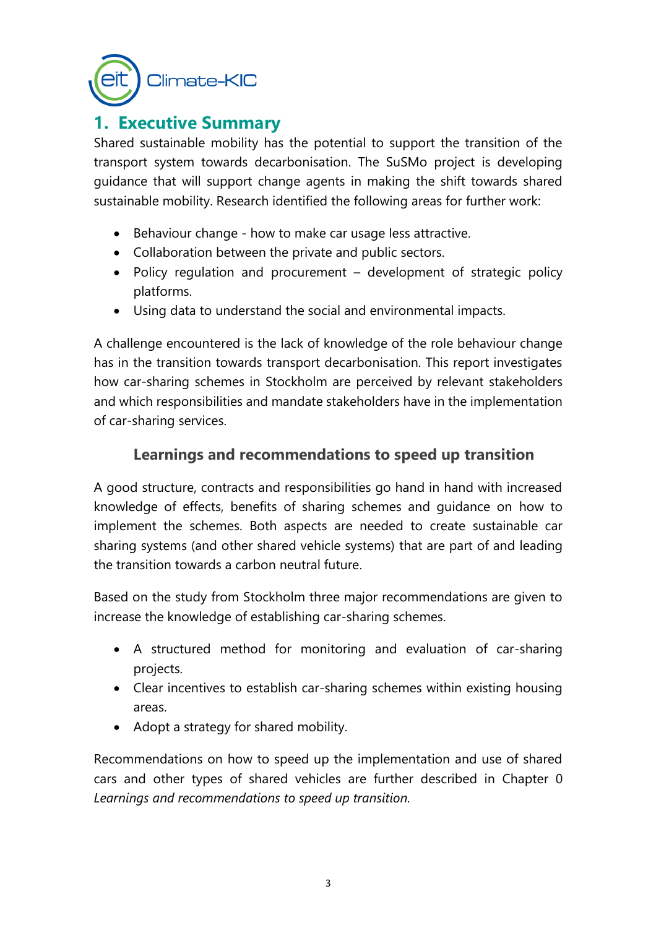

# <span id="page-2-0"></span>**1. Executive Summary**

Shared sustainable mobility has the potential to support the transition of the transport system towards decarbonisation. The SuSMo project is developing guidance that will support change agents in making the shift towards shared sustainable mobility. Research identified the following areas for further work:

- Behaviour change how to make car usage less attractive.
- Collaboration between the private and public sectors.
- Policy regulation and procurement development of strategic policy platforms.
- Using data to understand the social and environmental impacts.

A challenge encountered is the lack of knowledge of the role behaviour change has in the transition towards transport decarbonisation. This report investigates how car-sharing schemes in Stockholm are perceived by relevant stakeholders and which responsibilities and mandate stakeholders have in the implementation of car-sharing services.

### **Learnings and recommendations to speed up transition**

<span id="page-2-1"></span>A good structure, contracts and responsibilities go hand in hand with increased knowledge of effects, benefits of sharing schemes and guidance on how to implement the schemes. Both aspects are needed to create sustainable car sharing systems (and other shared vehicle systems) that are part of and leading the transition towards a carbon neutral future.

Based on the study from Stockholm three major recommendations are given to increase the knowledge of establishing car-sharing schemes.

- A structured method for monitoring and evaluation of car-sharing projects.
- Clear incentives to establish car-sharing schemes within existing housing areas.
- Adopt a strategy for shared mobility.

Recommendations on how to speed up the implementation and use of shared cars and other types of shared vehicles are further described in Chapter [0](#page-16-0) *Learnings [and recommendations to speed up transition.](#page-16-0)*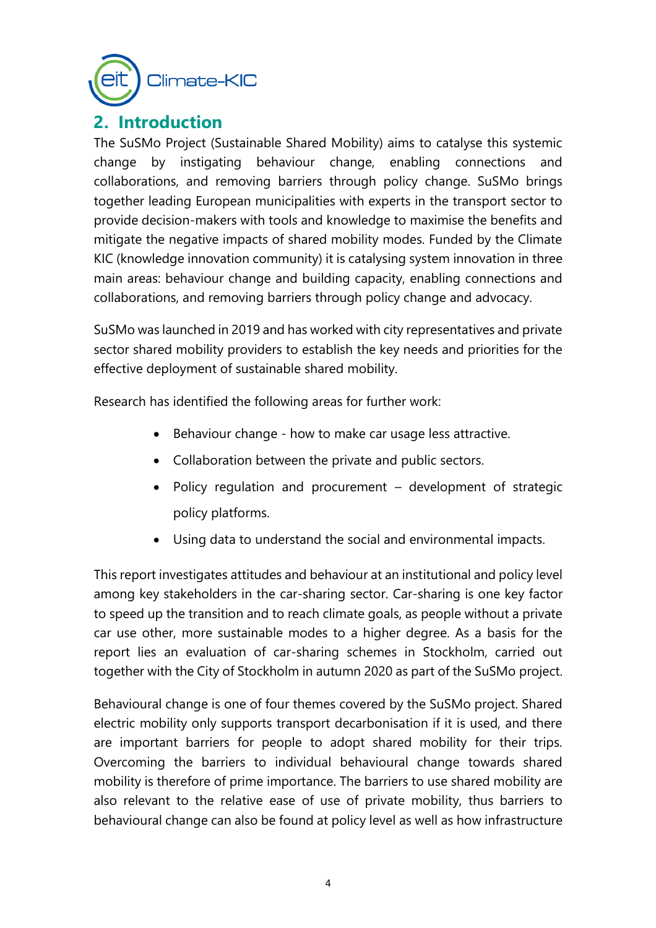

# <span id="page-3-0"></span>**2. Introduction**

The SuSMo Project (Sustainable Shared Mobility) aims to catalyse this systemic change by instigating behaviour change, enabling connections and collaborations, and removing barriers through policy change. SuSMo brings together leading European municipalities with experts in the transport sector to provide decision-makers with tools and knowledge to maximise the benefits and mitigate the negative impacts of shared mobility modes. Funded by the Climate KIC (knowledge innovation community) it is catalysing system innovation in three main areas: behaviour change and building capacity, enabling connections and collaborations, and removing barriers through policy change and advocacy.

SuSMo was launched in 2019 and has worked with city representatives and private sector shared mobility providers to establish the key needs and priorities for the effective deployment of sustainable shared mobility.

Research has identified the following areas for further work:

- Behaviour change how to make car usage less attractive.
- Collaboration between the private and public sectors.
- Policy regulation and procurement development of strategic policy platforms.
- Using data to understand the social and environmental impacts.

This report investigates attitudes and behaviour at an institutional and policy level among key stakeholders in the car-sharing sector. Car-sharing is one key factor to speed up the transition and to reach climate goals, as people without a private car use other, more sustainable modes to a higher degree. As a basis for the report lies an evaluation of car-sharing schemes in Stockholm, carried out together with the City of Stockholm in autumn 2020 as part of the SuSMo project.

Behavioural change is one of four themes covered by the SuSMo project. Shared electric mobility only supports transport decarbonisation if it is used, and there are important barriers for people to adopt shared mobility for their trips. Overcoming the barriers to individual behavioural change towards shared mobility is therefore of prime importance. The barriers to use shared mobility are also relevant to the relative ease of use of private mobility, thus barriers to behavioural change can also be found at policy level as well as how infrastructure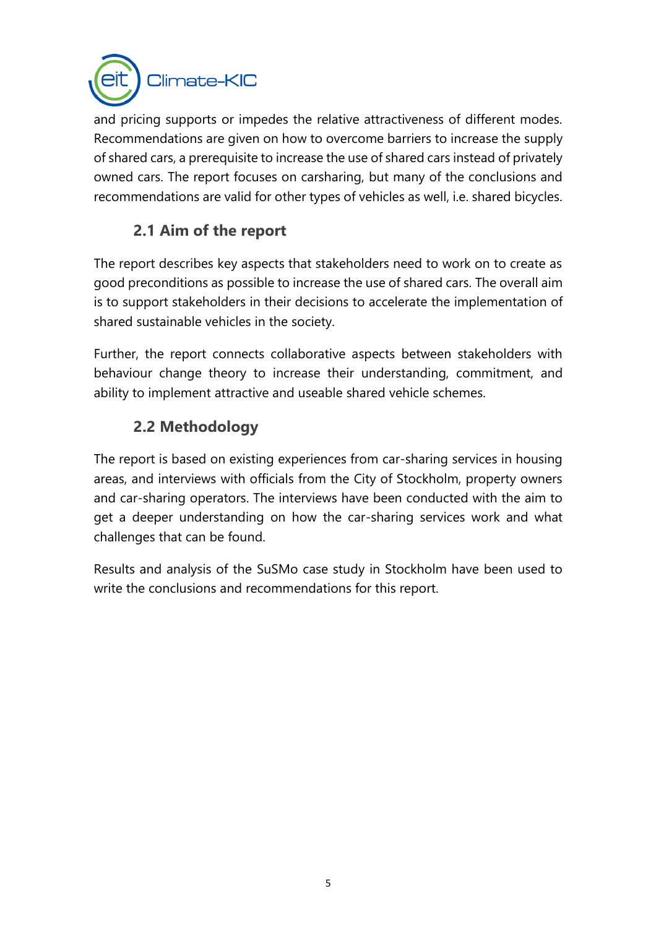

and pricing supports or impedes the relative attractiveness of different modes. Recommendations are given on how to overcome barriers to increase the supply of shared cars, a prerequisite to increase the use of shared cars instead of privately owned cars. The report focuses on carsharing, but many of the conclusions and recommendations are valid for other types of vehicles as well, i.e. shared bicycles.

## **2.1 Aim of the report**

<span id="page-4-0"></span>The report describes key aspects that stakeholders need to work on to create as good preconditions as possible to increase the use of shared cars. The overall aim is to support stakeholders in their decisions to accelerate the implementation of shared sustainable vehicles in the society.

Further, the report connects collaborative aspects between stakeholders with behaviour change theory to increase their understanding, commitment, and ability to implement attractive and useable shared vehicle schemes.

## **2.2 Methodology**

<span id="page-4-1"></span>The report is based on existing experiences from car-sharing services in housing areas, and interviews with officials from the City of Stockholm, property owners and car-sharing operators. The interviews have been conducted with the aim to get a deeper understanding on how the car-sharing services work and what challenges that can be found.

Results and analysis of the SuSMo case study in Stockholm have been used to write the conclusions and recommendations for this report.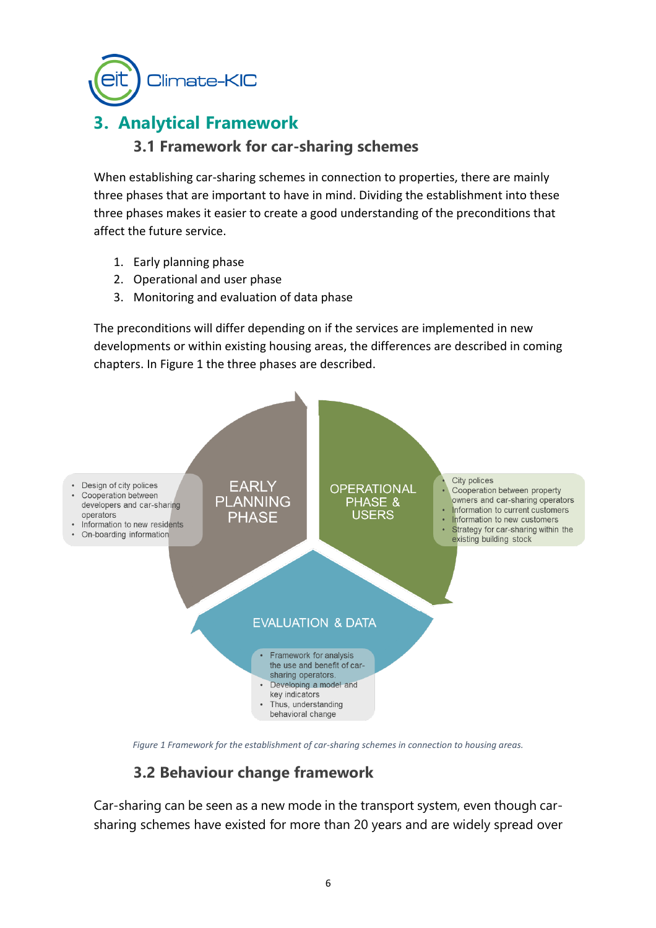Climate-KIC

# <span id="page-5-1"></span><span id="page-5-0"></span>**3. Analytical Framework**

### **3.1 Framework for car-sharing schemes**

When establishing car-sharing schemes in connection to properties, there are mainly three phases that are important to have in mind. Dividing the establishment into these three phases makes it easier to create a good understanding of the preconditions that affect the future service.

- 1. Early planning phase
- 2. Operational and user phase
- 3. Monitoring and evaluation of data phase

The preconditions will differ depending on if the services are implemented in new developments or within existing housing areas, the differences are described in coming chapters. In [Figure 1](#page-5-3) the three phases are described.



<span id="page-5-3"></span>*Figure 1 Framework for the establishment of car-sharing schemes in connection to housing areas.*

## **3.2 Behaviour change framework**

<span id="page-5-2"></span>Car-sharing can be seen as a new mode in the transport system, even though carsharing schemes have existed for more than 20 years and are widely spread over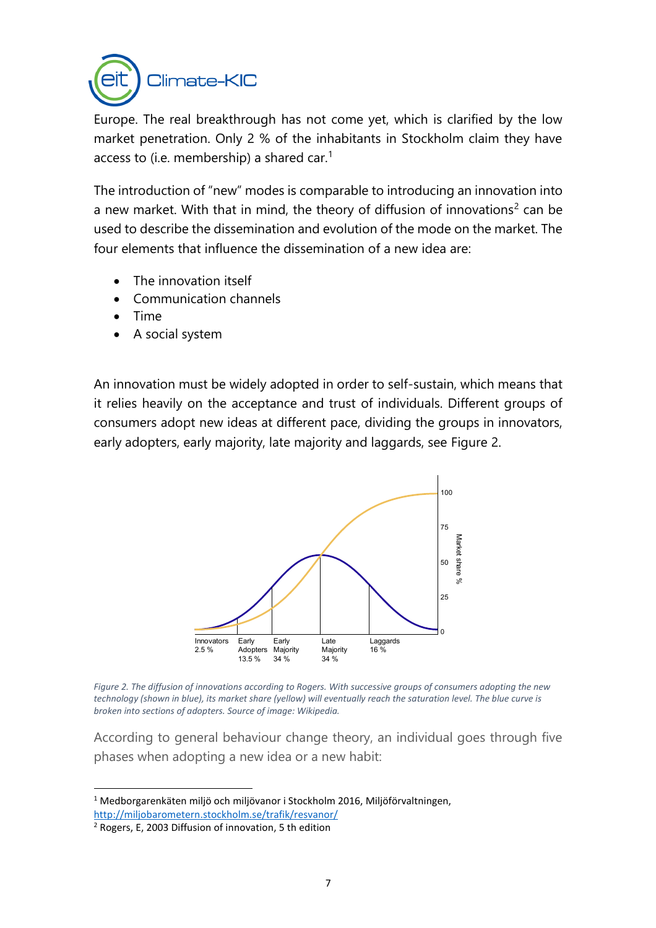

Europe. The real breakthrough has not come yet, which is clarified by the low market penetration. Only 2 % of the inhabitants in Stockholm claim they have access to (i.e. membership) a shared car.<sup>1</sup>

The introduction of "new" modes is comparable to introducing an innovation into a new market. With that in mind, the theory of diffusion of innovations<sup>2</sup> can be used to describe the dissemination and evolution of the mode on the market. The four elements that influence the dissemination of a new idea are:

- The innovation itself
- Communication channels
- Time
- A social system

An innovation must be widely adopted in order to self-sustain, which means that it relies heavily on the acceptance and trust of individuals. Different groups of consumers adopt new ideas at different pace, dividing the groups in innovators, early adopters, early majority, late majority and laggards, see [Figure 2.](#page-6-0)



<span id="page-6-0"></span>*Figure 2. The diffusion of innovations according to Rogers. With successive groups of consumers adopting the new*  technology (shown in blue), its market share (yellow) will eventually reach the saturation level. The blue curve is *broken into sections of adopters. Source of image: Wikipedia.*

According to general behaviour change theory, an individual goes through five phases when adopting a new idea or a new habit:

<sup>1</sup> Medborgarenkäten miljö och miljövanor i Stockholm 2016, Miljöförvaltningen, <http://miljobarometern.stockholm.se/trafik/resvanor/>

<sup>2</sup> Rogers, E, 2003 Diffusion of innovation, 5 th edition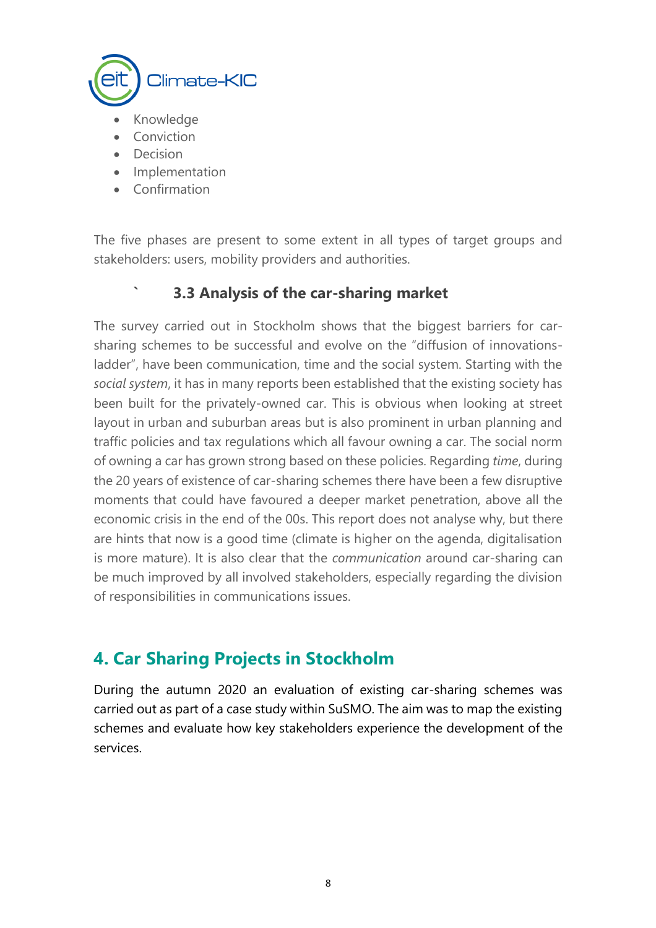

- Knowledge
- **Conviction**
- Decision
- **Implementation**
- Confirmation

The five phases are present to some extent in all types of target groups and stakeholders: users, mobility providers and authorities.

### **` 3.3 Analysis of the car-sharing market**

<span id="page-7-0"></span>The survey carried out in Stockholm shows that the biggest barriers for carsharing schemes to be successful and evolve on the "diffusion of innovationsladder", have been communication, time and the social system. Starting with the *social system*, it has in many reports been established that the existing society has been built for the privately-owned car. This is obvious when looking at street layout in urban and suburban areas but is also prominent in urban planning and traffic policies and tax regulations which all favour owning a car. The social norm of owning a car has grown strong based on these policies. Regarding *time*, during the 20 years of existence of car-sharing schemes there have been a few disruptive moments that could have favoured a deeper market penetration, above all the economic crisis in the end of the 00s. This report does not analyse why, but there are hints that now is a good time (climate is higher on the agenda, digitalisation is more mature). It is also clear that the *communication* around car-sharing can be much improved by all involved stakeholders, especially regarding the division of responsibilities in communications issues.

# <span id="page-7-1"></span>**4. Car Sharing Projects in Stockholm**

During the autumn 2020 an evaluation of existing car-sharing schemes was carried out as part of a case study within SuSMO. The aim was to map the existing schemes and evaluate how key stakeholders experience the development of the services.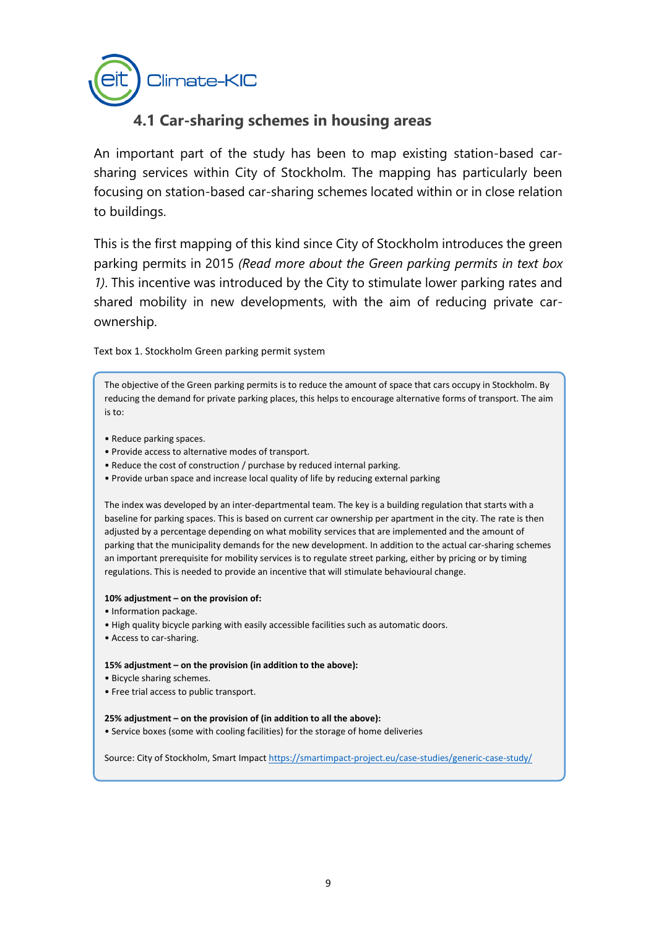

### **4.1 Car-sharing schemes in housing areas**

<span id="page-8-0"></span>An important part of the study has been to map existing station-based carsharing services within City of Stockholm. The mapping has particularly been focusing on station-based car-sharing schemes located within or in close relation to buildings.

This is the first mapping of this kind since City of Stockholm introduces the green parking permits in 2015 *(Read more about the Green parking permits in text box 1)*. This incentive was introduced by the City to stimulate lower parking rates and shared mobility in new developments, with the aim of reducing private carownership.

Text box 1. Stockholm Green parking permit system

The objective of the Green parking permits is to reduce the amount of space that cars occupy in Stockholm. By reducing the demand for private parking places, this helps to encourage alternative forms of transport. The aim is to:

- Reduce parking spaces.
- Provide access to alternative modes of transport.
- Reduce the cost of construction / purchase by reduced internal parking.
- Provide urban space and increase local quality of life by reducing external parking

The index was developed by an inter-departmental team. The key is a building regulation that starts with a baseline for parking spaces. This is based on current car ownership per apartment in the city. The rate is then adjusted by a percentage depending on what mobility services that are implemented and the amount of parking that the municipality demands for the new development. In addition to the actual car-sharing schemes an important prerequisite for mobility services is to regulate street parking, either by pricing or by timing regulations. This is needed to provide an incentive that will stimulate behavioural change.

#### **10% adjustment – on the provision of:**

- Information package.
- High quality bicycle parking with easily accessible facilities such as automatic doors.
- Access to car-sharing.

**15% adjustment – on the provision (in addition to the above):**

- Bicycle sharing schemes.
- Free trial access to public transport.

#### **25% adjustment – on the provision of (in addition to all the above):**

• Service boxes (some with cooling facilities) for the storage of home deliveries

Source: City of Stockholm, Smart Impac[t https://smartimpact-project.eu/case-studies/generic-case-study/](https://smartimpact-project.eu/case-studies/generic-case-study/)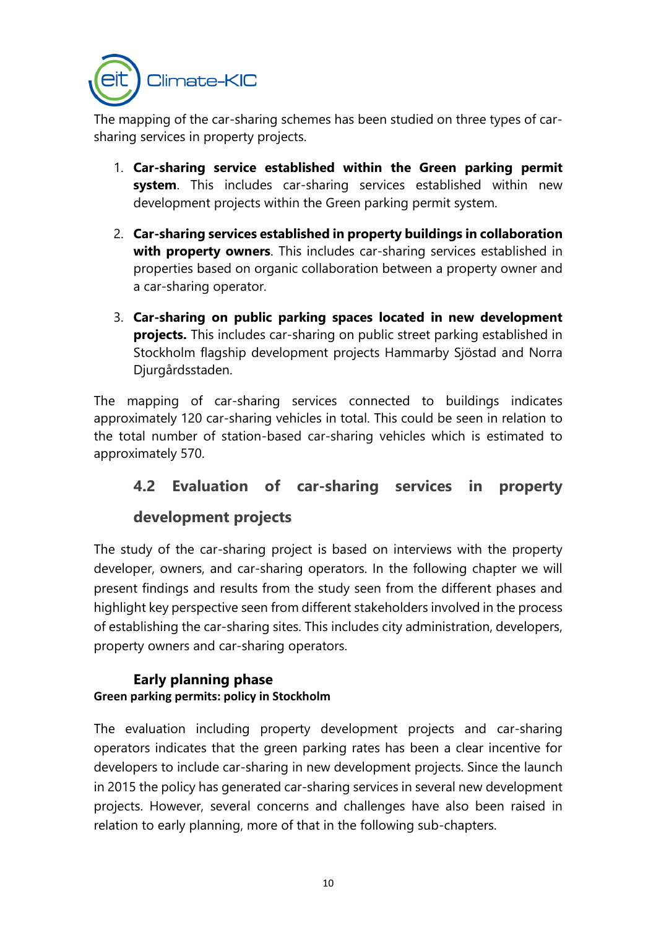

The mapping of the car-sharing schemes has been studied on three types of carsharing services in property projects.

- 1. **Car-sharing service established within the Green parking permit system**. This includes car-sharing services established within new development projects within the Green parking permit system.
- 2. **Car-sharing services established in property buildings in collaboration with property owners**. This includes car-sharing services established in properties based on organic collaboration between a property owner and a car-sharing operator.
- 3. **Car-sharing on public parking spaces located in new development projects.** This includes car-sharing on public street parking established in Stockholm flagship development projects Hammarby Sjöstad and Norra Djurgårdsstaden.

The mapping of car-sharing services connected to buildings indicates approximately 120 car-sharing vehicles in total. This could be seen in relation to the total number of station-based car-sharing vehicles which is estimated to approximately 570.

# <span id="page-9-0"></span>**4.2 Evaluation of car-sharing services in property development projects**

The study of the car-sharing project is based on interviews with the property developer, owners, and car-sharing operators. In the following chapter we will present findings and results from the study seen from the different phases and highlight key perspective seen from different stakeholders involved in the process of establishing the car-sharing sites. This includes city administration, developers, property owners and car-sharing operators.

### **Early planning phase Green parking permits: policy in Stockholm**

The evaluation including property development projects and car-sharing operators indicates that the green parking rates has been a clear incentive for developers to include car-sharing in new development projects. Since the launch in 2015 the policy has generated car-sharing services in several new development projects. However, several concerns and challenges have also been raised in relation to early planning, more of that in the following sub-chapters.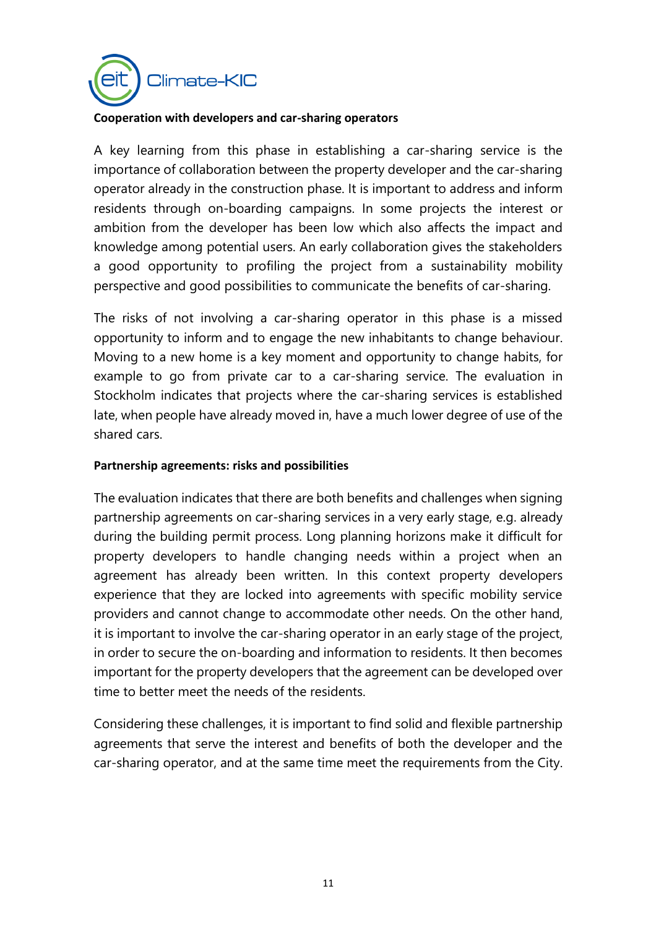

#### **Cooperation with developers and car-sharing operators**

A key learning from this phase in establishing a car-sharing service is the importance of collaboration between the property developer and the car-sharing operator already in the construction phase. It is important to address and inform residents through on-boarding campaigns. In some projects the interest or ambition from the developer has been low which also affects the impact and knowledge among potential users. An early collaboration gives the stakeholders a good opportunity to profiling the project from a sustainability mobility perspective and good possibilities to communicate the benefits of car-sharing.

The risks of not involving a car-sharing operator in this phase is a missed opportunity to inform and to engage the new inhabitants to change behaviour. Moving to a new home is a key moment and opportunity to change habits, for example to go from private car to a car-sharing service. The evaluation in Stockholm indicates that projects where the car-sharing services is established late, when people have already moved in, have a much lower degree of use of the shared cars.

#### **Partnership agreements: risks and possibilities**

The evaluation indicates that there are both benefits and challenges when signing partnership agreements on car-sharing services in a very early stage, e.g. already during the building permit process. Long planning horizons make it difficult for property developers to handle changing needs within a project when an agreement has already been written. In this context property developers experience that they are locked into agreements with specific mobility service providers and cannot change to accommodate other needs. On the other hand, it is important to involve the car-sharing operator in an early stage of the project, in order to secure the on-boarding and information to residents. It then becomes important for the property developers that the agreement can be developed over time to better meet the needs of the residents.

Considering these challenges, it is important to find solid and flexible partnership agreements that serve the interest and benefits of both the developer and the car-sharing operator, and at the same time meet the requirements from the City.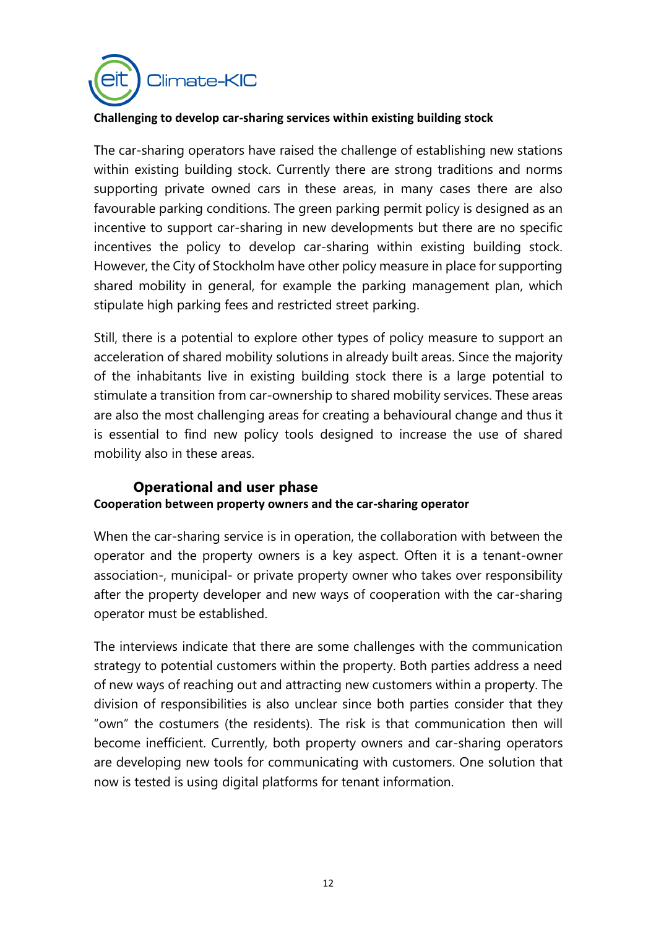

#### **Challenging to develop car-sharing services within existing building stock**

The car-sharing operators have raised the challenge of establishing new stations within existing building stock. Currently there are strong traditions and norms supporting private owned cars in these areas, in many cases there are also favourable parking conditions. The green parking permit policy is designed as an incentive to support car-sharing in new developments but there are no specific incentives the policy to develop car-sharing within existing building stock. However, the City of Stockholm have other policy measure in place for supporting shared mobility in general, for example the parking management plan, which stipulate high parking fees and restricted street parking.

Still, there is a potential to explore other types of policy measure to support an acceleration of shared mobility solutions in already built areas. Since the majority of the inhabitants live in existing building stock there is a large potential to stimulate a transition from car-ownership to shared mobility services. These areas are also the most challenging areas for creating a behavioural change and thus it is essential to find new policy tools designed to increase the use of shared mobility also in these areas.

#### **Operational and user phase Cooperation between property owners and the car-sharing operator**

When the car-sharing service is in operation, the collaboration with between the operator and the property owners is a key aspect. Often it is a tenant-owner association-, municipal- or private property owner who takes over responsibility after the property developer and new ways of cooperation with the car-sharing operator must be established.

The interviews indicate that there are some challenges with the communication strategy to potential customers within the property. Both parties address a need of new ways of reaching out and attracting new customers within a property. The division of responsibilities is also unclear since both parties consider that they "own" the costumers (the residents). The risk is that communication then will become inefficient. Currently, both property owners and car-sharing operators are developing new tools for communicating with customers. One solution that now is tested is using digital platforms for tenant information.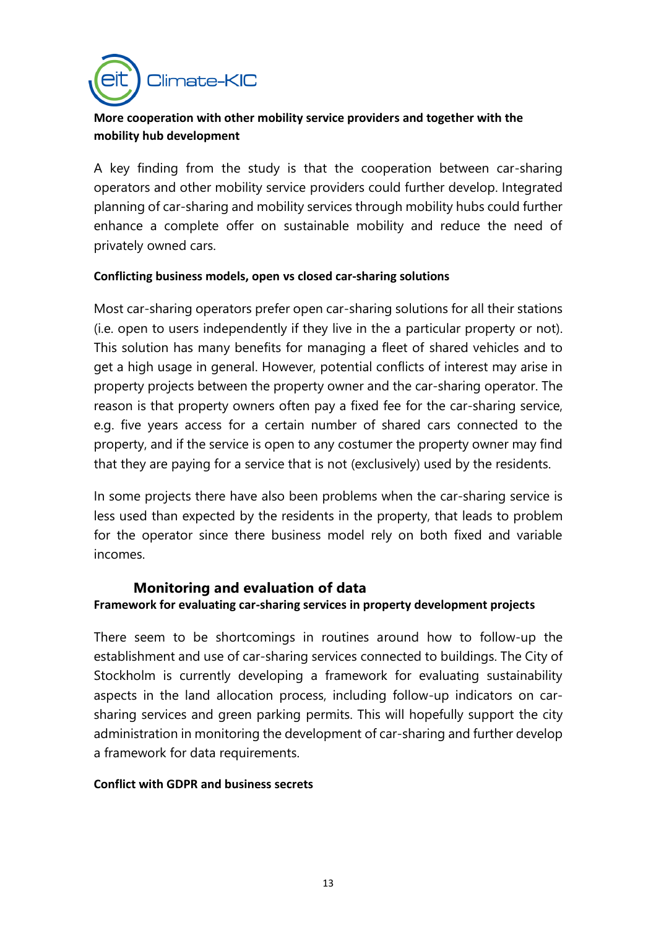

#### **More cooperation with other mobility service providers and together with the mobility hub development**

A key finding from the study is that the cooperation between car-sharing operators and other mobility service providers could further develop. Integrated planning of car-sharing and mobility services through mobility hubs could further enhance a complete offer on sustainable mobility and reduce the need of privately owned cars.

#### **Conflicting business models, open vs closed car-sharing solutions**

Most car-sharing operators prefer open car-sharing solutions for all their stations (i.e. open to users independently if they live in the a particular property or not). This solution has many benefits for managing a fleet of shared vehicles and to get a high usage in general. However, potential conflicts of interest may arise in property projects between the property owner and the car-sharing operator. The reason is that property owners often pay a fixed fee for the car-sharing service, e.g. five years access for a certain number of shared cars connected to the property, and if the service is open to any costumer the property owner may find that they are paying for a service that is not (exclusively) used by the residents.

In some projects there have also been problems when the car-sharing service is less used than expected by the residents in the property, that leads to problem for the operator since there business model rely on both fixed and variable incomes.

#### **Monitoring and evaluation of data Framework for evaluating car-sharing services in property development projects**

There seem to be shortcomings in routines around how to follow-up the establishment and use of car-sharing services connected to buildings. The City of Stockholm is currently developing a framework for evaluating sustainability aspects in the land allocation process, including follow-up indicators on carsharing services and green parking permits. This will hopefully support the city administration in monitoring the development of car-sharing and further develop a framework for data requirements.

#### **Conflict with GDPR and business secrets**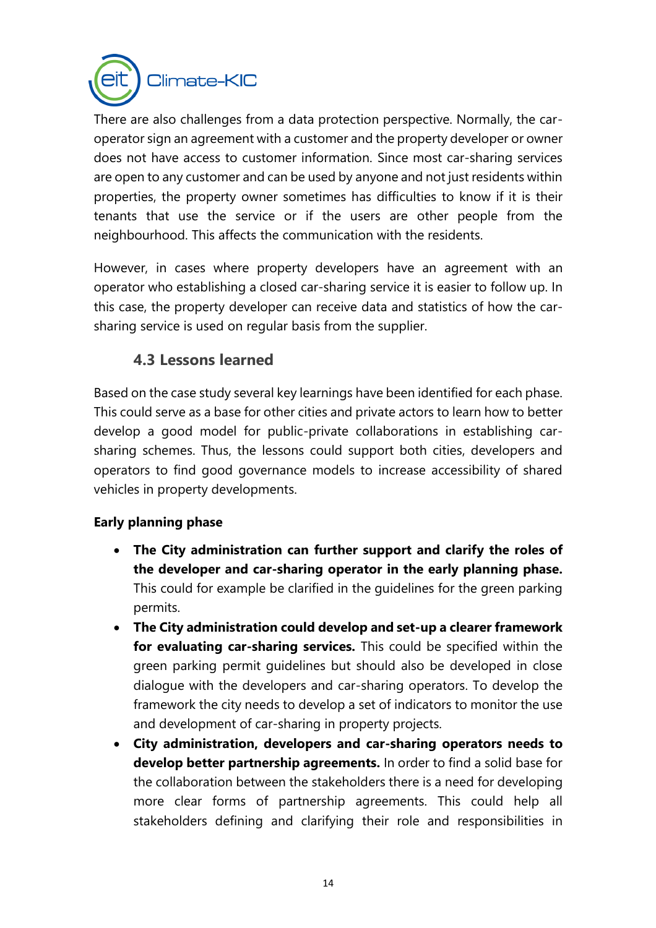

There are also challenges from a data protection perspective. Normally, the caroperator sign an agreement with a customer and the property developer or owner does not have access to customer information. Since most car-sharing services are open to any customer and can be used by anyone and not just residents within properties, the property owner sometimes has difficulties to know if it is their tenants that use the service or if the users are other people from the neighbourhood. This affects the communication with the residents.

However, in cases where property developers have an agreement with an operator who establishing a closed car-sharing service it is easier to follow up. In this case, the property developer can receive data and statistics of how the carsharing service is used on regular basis from the supplier.

### **4.3 Lessons learned**

<span id="page-13-0"></span>Based on the case study several key learnings have been identified for each phase. This could serve as a base for other cities and private actors to learn how to better develop a good model for public-private collaborations in establishing carsharing schemes. Thus, the lessons could support both cities, developers and operators to find good governance models to increase accessibility of shared vehicles in property developments.

### **Early planning phase**

- **The City administration can further support and clarify the roles of the developer and car-sharing operator in the early planning phase.**  This could for example be clarified in the guidelines for the green parking permits.
- **The City administration could develop and set-up a clearer framework for evaluating car-sharing services.** This could be specified within the green parking permit guidelines but should also be developed in close dialogue with the developers and car-sharing operators. To develop the framework the city needs to develop a set of indicators to monitor the use and development of car-sharing in property projects.
- **City administration, developers and car-sharing operators needs to develop better partnership agreements.** In order to find a solid base for the collaboration between the stakeholders there is a need for developing more clear forms of partnership agreements. This could help all stakeholders defining and clarifying their role and responsibilities in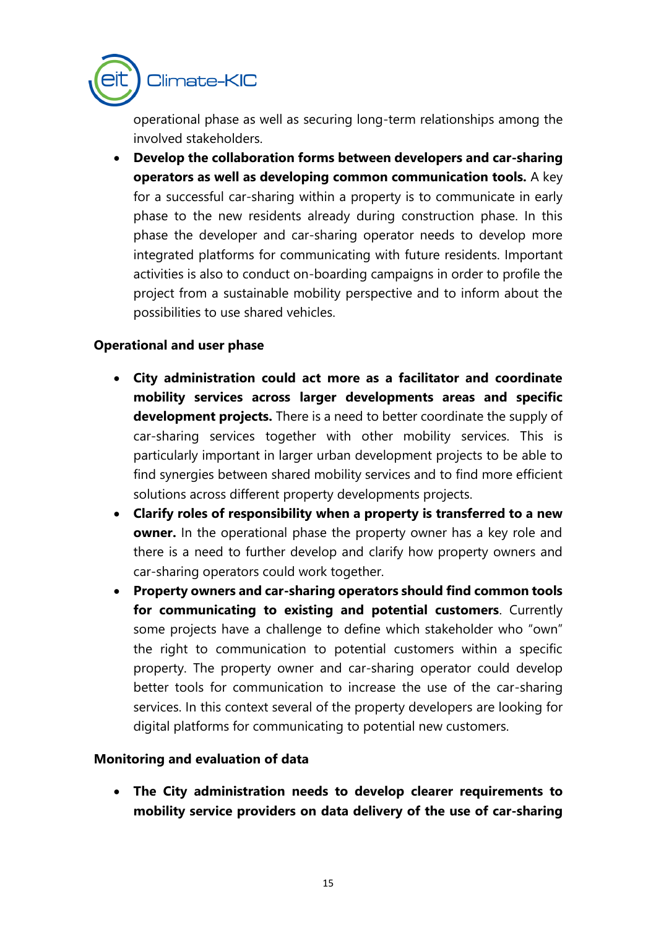

operational phase as well as securing long-term relationships among the involved stakeholders.

• **Develop the collaboration forms between developers and car-sharing operators as well as developing common communication tools.** A key for a successful car-sharing within a property is to communicate in early phase to the new residents already during construction phase. In this phase the developer and car-sharing operator needs to develop more integrated platforms for communicating with future residents. Important activities is also to conduct on-boarding campaigns in order to profile the project from a sustainable mobility perspective and to inform about the possibilities to use shared vehicles.

#### **Operational and user phase**

- **City administration could act more as a facilitator and coordinate mobility services across larger developments areas and specific development projects.** There is a need to better coordinate the supply of car-sharing services together with other mobility services. This is particularly important in larger urban development projects to be able to find synergies between shared mobility services and to find more efficient solutions across different property developments projects.
- **Clarify roles of responsibility when a property is transferred to a new owner.** In the operational phase the property owner has a key role and there is a need to further develop and clarify how property owners and car-sharing operators could work together.
- **Property owners and car-sharing operators should find common tools for communicating to existing and potential customers**. Currently some projects have a challenge to define which stakeholder who "own" the right to communication to potential customers within a specific property. The property owner and car-sharing operator could develop better tools for communication to increase the use of the car-sharing services. In this context several of the property developers are looking for digital platforms for communicating to potential new customers.

#### **Monitoring and evaluation of data**

• **The City administration needs to develop clearer requirements to mobility service providers on data delivery of the use of car-sharing**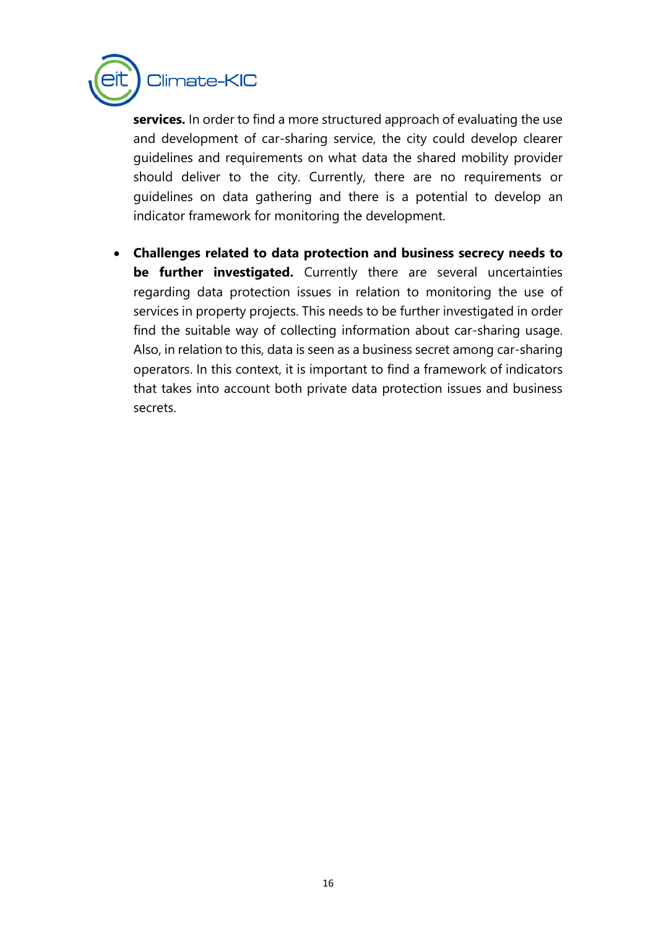

**services.** In order to find a more structured approach of evaluating the use and development of car-sharing service, the city could develop clearer guidelines and requirements on what data the shared mobility provider should deliver to the city. Currently, there are no requirements or guidelines on data gathering and there is a potential to develop an indicator framework for monitoring the development.

• **Challenges related to data protection and business secrecy needs to be further investigated.** Currently there are several uncertainties regarding data protection issues in relation to monitoring the use of services in property projects. This needs to be further investigated in order find the suitable way of collecting information about car-sharing usage. Also, in relation to this, data is seen as a business secret among car-sharing operators. In this context, it is important to find a framework of indicators that takes into account both private data protection issues and business secrets.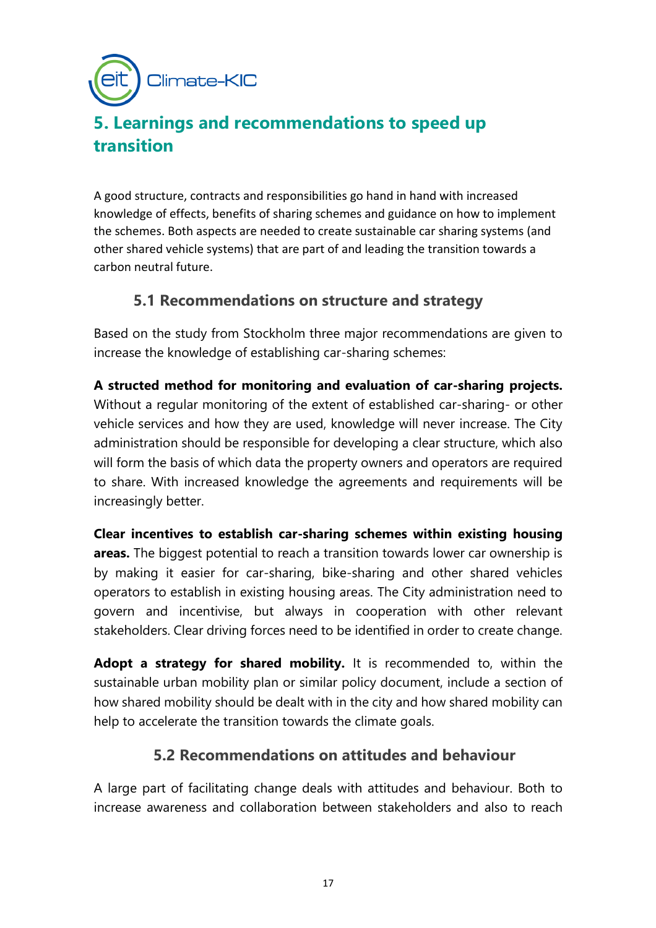Climate-KIC

# <span id="page-16-0"></span>**5. Learnings and recommendations to speed up transition**

<span id="page-16-1"></span>A good structure, contracts and responsibilities go hand in hand with increased knowledge of effects, benefits of sharing schemes and guidance on how to implement the schemes. Both aspects are needed to create sustainable car sharing systems (and other shared vehicle systems) that are part of and leading the transition towards a carbon neutral future.

### **5.1 Recommendations on structure and strategy**

Based on the study from Stockholm three major recommendations are given to increase the knowledge of establishing car-sharing schemes:

**A structed method for monitoring and evaluation of car-sharing projects.**  Without a regular monitoring of the extent of established car-sharing- or other vehicle services and how they are used, knowledge will never increase. The City administration should be responsible for developing a clear structure, which also will form the basis of which data the property owners and operators are required to share. With increased knowledge the agreements and requirements will be increasingly better.

**Clear incentives to establish car-sharing schemes within existing housing areas.** The biggest potential to reach a transition towards lower car ownership is by making it easier for car-sharing, bike-sharing and other shared vehicles operators to establish in existing housing areas. The City administration need to govern and incentivise, but always in cooperation with other relevant stakeholders. Clear driving forces need to be identified in order to create change.

**Adopt a strategy for shared mobility.** It is recommended to, within the sustainable urban mobility plan or similar policy document, include a section of how shared mobility should be dealt with in the city and how shared mobility can help to accelerate the transition towards the climate goals.

### **5.2 Recommendations on attitudes and behaviour**

<span id="page-16-2"></span>A large part of facilitating change deals with attitudes and behaviour. Both to increase awareness and collaboration between stakeholders and also to reach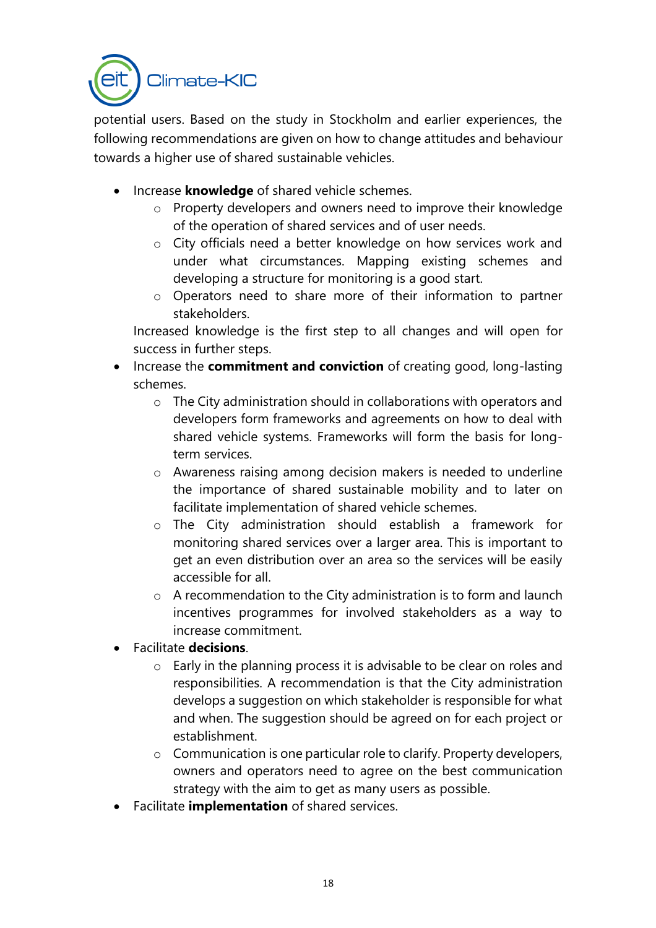

potential users. Based on the study in Stockholm and earlier experiences, the following recommendations are given on how to change attitudes and behaviour towards a higher use of shared sustainable vehicles.

- Increase **knowledge** of shared vehicle schemes.
	- o Property developers and owners need to improve their knowledge of the operation of shared services and of user needs.
	- o City officials need a better knowledge on how services work and under what circumstances. Mapping existing schemes and developing a structure for monitoring is a good start.
	- o Operators need to share more of their information to partner stakeholders.

Increased knowledge is the first step to all changes and will open for success in further steps.

- Increase the **commitment and conviction** of creating good, long-lasting schemes.
	- o The City administration should in collaborations with operators and developers form frameworks and agreements on how to deal with shared vehicle systems. Frameworks will form the basis for longterm services.
	- o Awareness raising among decision makers is needed to underline the importance of shared sustainable mobility and to later on facilitate implementation of shared vehicle schemes.
	- o The City administration should establish a framework for monitoring shared services over a larger area. This is important to get an even distribution over an area so the services will be easily accessible for all.
	- $\circ$  A recommendation to the City administration is to form and launch incentives programmes for involved stakeholders as a way to increase commitment.
- Facilitate **decisions**.
	- o Early in the planning process it is advisable to be clear on roles and responsibilities. A recommendation is that the City administration develops a suggestion on which stakeholder is responsible for what and when. The suggestion should be agreed on for each project or establishment.
	- o Communication is one particular role to clarify. Property developers, owners and operators need to agree on the best communication strategy with the aim to get as many users as possible.
- Facilitate **implementation** of shared services.